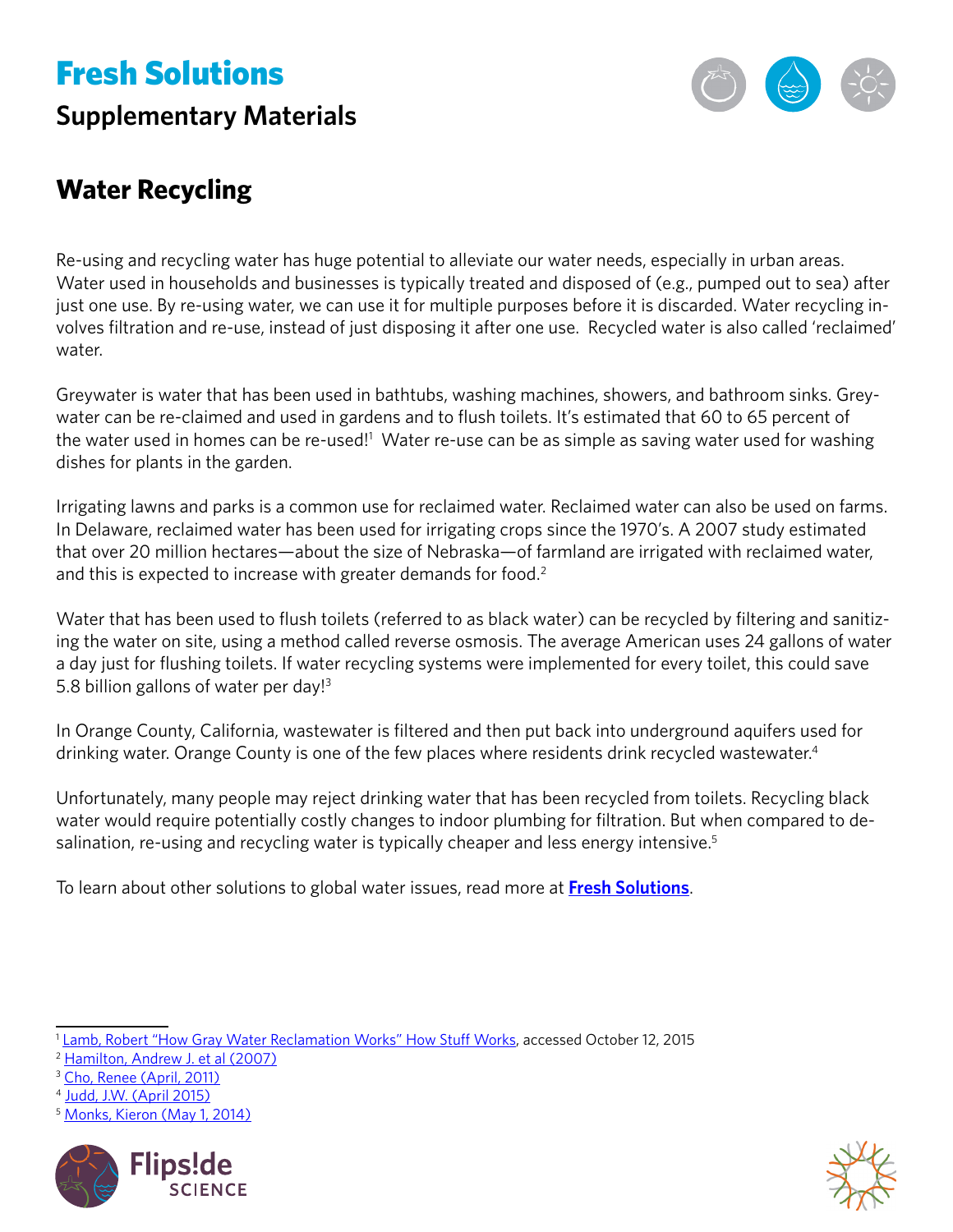# Fresh Solutions

### **Supplementary Materials**



### **Water Recycling**

Re-using and recycling water has huge potential to alleviate our water needs, especially in urban areas. Water used in households and businesses is typically treated and disposed of (e.g., pumped out to sea) after just one use. By re-using water, we can use it for multiple purposes before it is discarded. Water recycling involves filtration and re-use, instead of just disposing it after one use. Recycled water is also called 'reclaimed' water.

Greywater is water that has been used in bathtubs, washing machines, showers, and bathroom sinks. Greywater can be re-claimed and used in gardens and to flush toilets. It's estimated that 60 to 65 percent of the water used in homes can be re-used!<sup>1</sup> Water re-use can be as simple as saving water used for washing dishes for plants in the garden.

Irrigating lawns and parks is a common use for reclaimed water. Reclaimed water can also be used on farms. In Delaware, reclaimed water has been used for irrigating crops since the 1970's. A 2007 study estimated that over 20 million hectares—about the size of Nebraska—of farmland are irrigated with reclaimed water, and this is expected to increase with greater demands for food.<sup>2</sup>

Water that has been used to flush toilets (referred to as black water) can be recycled by filtering and sanitizing the water on site, using a method called reverse osmosis. The average American uses 24 gallons of water a day just for flushing toilets. If water recycling systems were implemented for every toilet, this could save 5.8 billion gallons of water per day!<sup>3</sup>

In Orange County, California, wastewater is filtered and then put back into underground aquifers used for drinking water. Orange County is one of the few places where residents drink recycled wastewater.<sup>4</sup>

Unfortunately, many people may reject drinking water that has been recycled from toilets. Recycling black water would require potentially costly changes to indoor plumbing for filtration. But when compared to desalination, re-using and recycling water is typically cheaper and less energy intensive.<sup>5</sup>

To learn about other solutions to global water issues, read more at **[Fresh Solutions](https://www.calacademy.org/educators/fresh-solutions)**.

<sup>5</sup> [Monks, Kieron \(May 1, 2014\)](http://www.cnn.com/2014/05/01/world/from-toilet-to-tap-water/)





<sup>&</sup>lt;sup>1</sup> [Lamb, Robert "How Gray Water Reclamation Works" How Stuff Works,](http://science.howstuffworks.com/environmental/green-science/gray-water-reclamation.htmhttp://) accessed October 12, 2015

<sup>2</sup> [Hamilton, Andrew J. et al \(2007\)](https://dl.sciencesocieties.org/publications/vzj/abstracts/6/4/823?access=0&view=pdf)

<sup>&</sup>lt;sup>3</sup> [Cho, Renee \(April, 2011\)](http://blogs.ei.columbia.edu/2011/04/04/from-wastewater-to-drinking-water/)

<sup>4</sup> [Judd, J.W. \(April 2015\)](http://www.psmag.com/nature-and-technology/rundown-on-recycled-wastewater)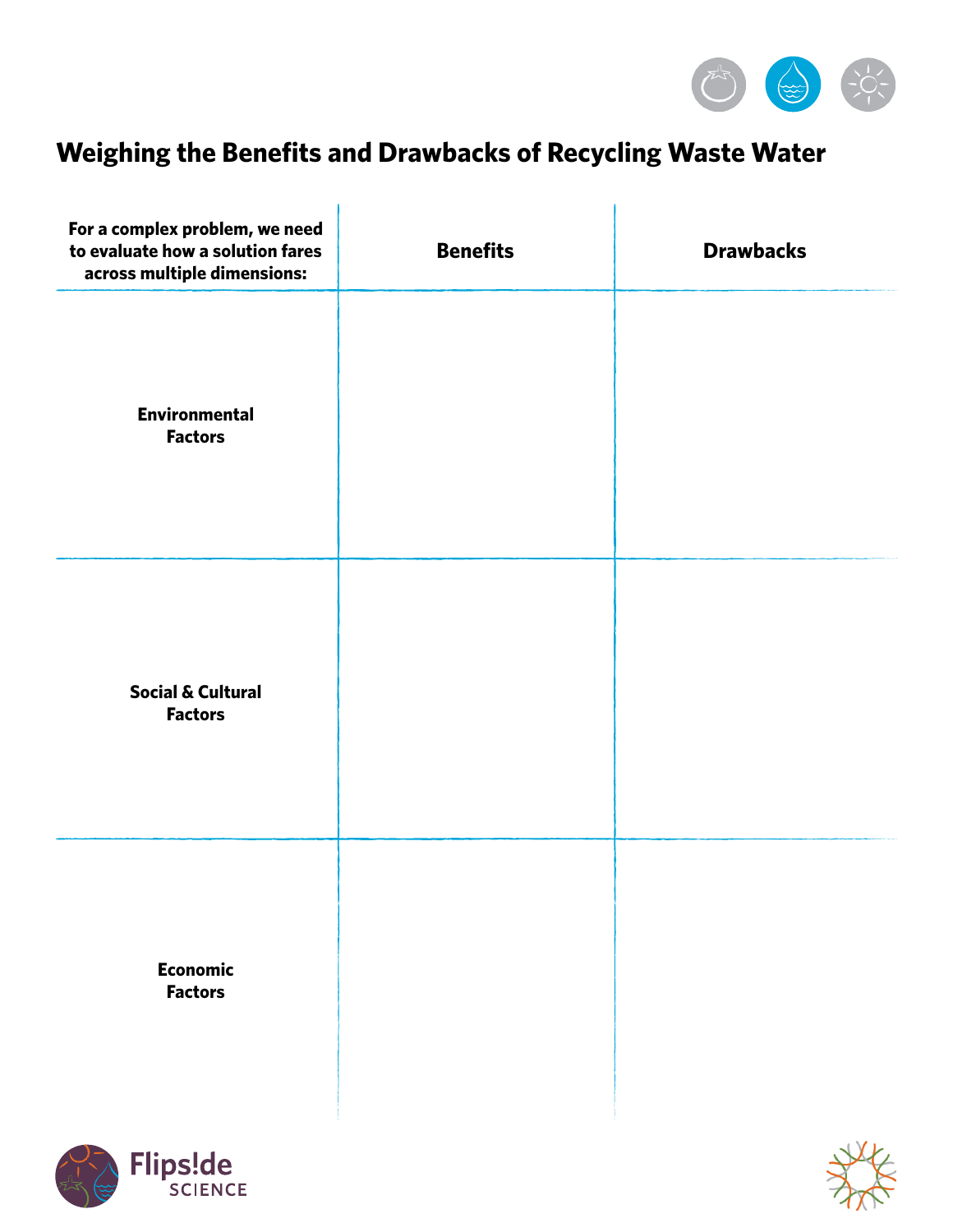

### **Weighing the Benefits and Drawbacks of Recycling Waste Water**

| For a complex problem, we need<br>to evaluate how a solution fares<br>across multiple dimensions: | <b>Benefits</b> | <b>Drawbacks</b> |
|---------------------------------------------------------------------------------------------------|-----------------|------------------|
| <b>Environmental</b><br><b>Factors</b>                                                            |                 |                  |
| <b>Social &amp; Cultural</b><br><b>Factors</b>                                                    |                 |                  |
| <b>Economic</b><br><b>Factors</b>                                                                 |                 |                  |